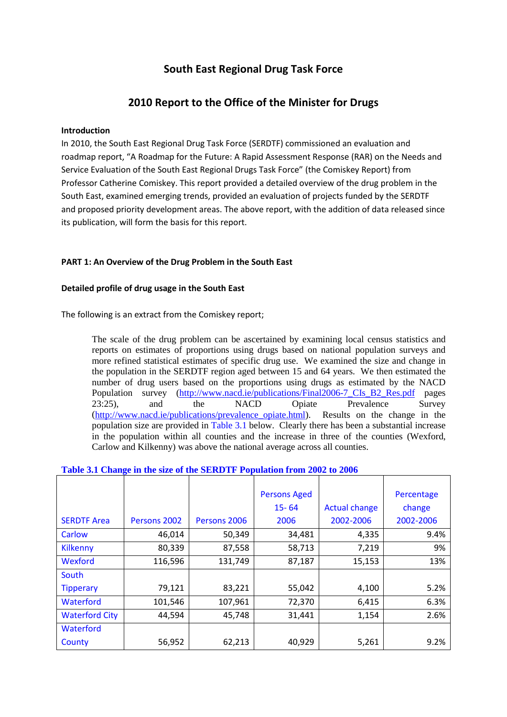# **South East Regional Drug Task Force**

# **2010 Report to the Office of the Minister for Drugs**

# **Introduction**

In 2010, the South East Regional Drug Task Force (SERDTF) commissioned an evaluation and roadmap report, "A Roadmap for the Future: A Rapid Assessment Response (RAR) on the Needs and Service Evaluation of the South East Regional Drugs Task Force" (the Comiskey Report) from Professor Catherine Comiskey. This report provided a detailed overview of the drug problem in the South East, examined emerging trends, provided an evaluation of projects funded by the SERDTF and proposed priority development areas. The above report, with the addition of data released since its publication, will form the basis for this report.

# **PART 1: An Overview of the Drug Problem in the South East**

# **Detailed profile of drug usage in the South East**

The following is an extract from the Comiskey report;

The scale of the drug problem can be ascertained by examining local census statistics and reports on estimates of proportions using drugs based on national population surveys and more refined statistical estimates of specific drug use. We examined the size and change in the population in the SERDTF region aged between 15 and 64 years. We then estimated the number of drug users based on the proportions using drugs as estimated by the NACD Population survey [\(http://www.nacd.ie/publications/Final2006-7\\_CIs\\_B2\\_Res.pdf](http://www.nacd.ie/publications/Final2006-7_CIs_B2_Res.pdf) pages 23:25), and the NACD Opiate Prevalence Survey [\(http://www.nacd.ie/publications/prevalence\\_opiate.html\)](http://www.nacd.ie/publications/prevalence_opiate.html). Results on the change in the population size are provided in Table 3.1 below. Clearly there has been a substantial increase in the population within all counties and the increase in three of the counties (Wexford, Carlow and Kilkenny) was above the national average across all counties.

## **Table 3.1 Change in the size of the SERDTF Population from 2002 to 2006**

|                       |              |              | <b>Persons Aged</b> |                      | Percentage |
|-----------------------|--------------|--------------|---------------------|----------------------|------------|
|                       |              |              | $15 - 64$           | <b>Actual change</b> | change     |
| <b>SERDTF Area</b>    | Persons 2002 | Persons 2006 | 2006                | 2002-2006            | 2002-2006  |
| Carlow                | 46,014       | 50,349       | 34,481              | 4,335                | 9.4%       |
| <b>Kilkenny</b>       | 80,339       | 87,558       | 58,713              | 7,219                | 9%         |
| Wexford               | 116,596      | 131,749      | 87,187              | 15,153               | 13%        |
| South                 |              |              |                     |                      |            |
| <b>Tipperary</b>      | 79,121       | 83,221       | 55,042              | 4,100                | 5.2%       |
| Waterford             | 101,546      | 107,961      | 72,370              | 6,415                | 6.3%       |
| <b>Waterford City</b> | 44,594       | 45,748       | 31,441              | 1,154                | 2.6%       |
| Waterford             |              |              |                     |                      |            |
| County                | 56,952       | 62,213       | 40,929              | 5,261                | 9.2%       |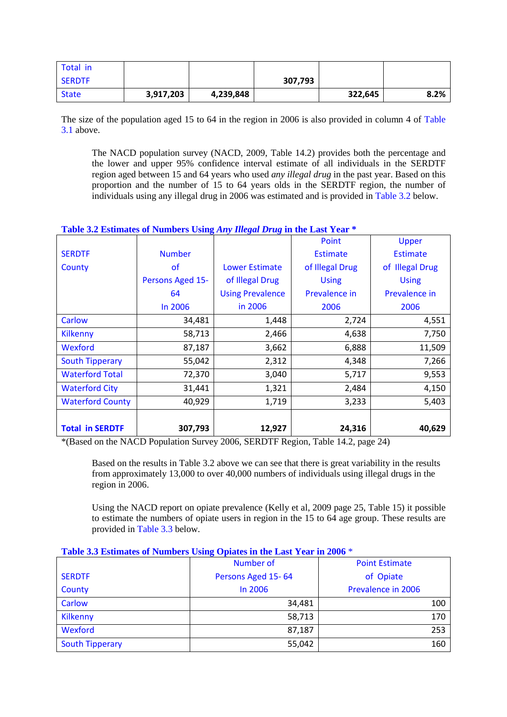| Total in      |           |           |         |         |      |
|---------------|-----------|-----------|---------|---------|------|
| <b>SERDTF</b> |           |           | 307,793 |         |      |
| <b>State</b>  | 3,917,203 | 4,239,848 |         | 322,645 | 8.2% |

The size of the population aged 15 to 64 in the region in 2006 is also provided in column 4 of Table 3.1 above.

The NACD population survey (NACD, 2009, Table 14.2) provides both the percentage and the lower and upper 95% confidence interval estimate of all individuals in the SERDTF region aged between 15 and 64 years who used *any illegal drug* in the past year. Based on this proportion and the number of 15 to 64 years olds in the SERDTF region, the number of individuals using any illegal drug in 2006 was estimated and is provided in Table 3.2 below.

## **Table 3.2 Estimates of Numbers Using** *Any Illegal Drug* **in the Last Year \***

|                         |                  |                         | Point           | Upper           |
|-------------------------|------------------|-------------------------|-----------------|-----------------|
| <b>SERDTF</b>           | <b>Number</b>    |                         | <b>Estimate</b> | <b>Estimate</b> |
| County                  | <b>of</b>        | <b>Lower Estimate</b>   | of Illegal Drug | of Illegal Drug |
|                         | Persons Aged 15- | of Illegal Drug         | <b>Using</b>    | <b>Using</b>    |
|                         | 64               | <b>Using Prevalence</b> | Prevalence in   | Prevalence in   |
|                         | In 2006          | in 2006                 | 2006            | 2006            |
| Carlow                  | 34,481           | 1,448                   | 2,724           | 4,551           |
| <b>Kilkenny</b>         | 58,713           | 2,466                   | 4,638           | 7,750           |
| Wexford                 | 87,187           | 3,662                   | 6,888           | 11,509          |
| <b>South Tipperary</b>  | 55,042           | 2,312                   | 4,348           | 7,266           |
| <b>Waterford Total</b>  | 72,370           | 3,040                   | 5,717           | 9,553           |
| <b>Waterford City</b>   | 31,441           | 1,321                   | 2,484           | 4,150           |
| <b>Waterford County</b> | 40,929           | 1,719                   | 3,233           | 5,403           |
|                         |                  |                         |                 |                 |
| <b>Total in SERDTF</b>  | 307,793          | 12,927                  | 24,316          | 40,629          |

\*(Based on the NACD Population Survey 2006, SERDTF Region, Table 14.2, page 24)

Based on the results in Table 3.2 above we can see that there is great variability in the results from approximately 13,000 to over 40,000 numbers of individuals using illegal drugs in the region in 2006.

Using the NACD report on opiate prevalence (Kelly et al, 2009 page 25, Table 15) it possible to estimate the numbers of opiate users in region in the 15 to 64 age group. These results are provided in Table 3.3 below.

| Those one Education of Fundation Comp Opinion in the Education and 2000 |                    |                       |  |  |
|-------------------------------------------------------------------------|--------------------|-----------------------|--|--|
|                                                                         | Number of          | <b>Point Estimate</b> |  |  |
| <b>SERDTF</b>                                                           | Persons Aged 15-64 | of Opiate             |  |  |
| County                                                                  | In 2006            | Prevalence in 2006    |  |  |
| Carlow                                                                  | 34,481             | 100                   |  |  |
| Kilkenny                                                                | 58,713             | 170                   |  |  |
| Wexford                                                                 | 87,187             | 253                   |  |  |
| <b>South Tipperary</b>                                                  | 55,042             | 160                   |  |  |
|                                                                         |                    |                       |  |  |

#### **Table 3.3 Estimates of Numbers Using Opiates in the Last Year in 2006** \*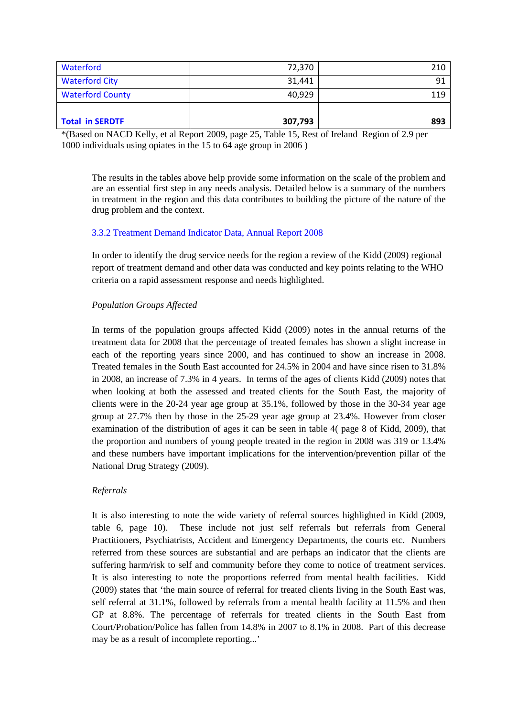| Waterford               | 72,370  | 210 |
|-------------------------|---------|-----|
| <b>Waterford City</b>   | 31,441  | 91  |
| <b>Waterford County</b> | 40,929  | 119 |
|                         |         |     |
| <b>Total in SERDTF</b>  | 307,793 | 893 |

\*(Based on NACD Kelly, et al Report 2009, page 25, Table 15, Rest of Ireland Region of 2.9 per 1000 individuals using opiates in the 15 to 64 age group in 2006 )

The results in the tables above help provide some information on the scale of the problem and are an essential first step in any needs analysis. Detailed below is a summary of the numbers in treatment in the region and this data contributes to building the picture of the nature of the drug problem and the context.

## 3.3.2 Treatment Demand Indicator Data, Annual Report 2008

In order to identify the drug service needs for the region a review of the Kidd (2009) regional report of treatment demand and other data was conducted and key points relating to the WHO criteria on a rapid assessment response and needs highlighted.

# *Population Groups Affected*

In terms of the population groups affected Kidd (2009) notes in the annual returns of the treatment data for 2008 that the percentage of treated females has shown a slight increase in each of the reporting years since 2000, and has continued to show an increase in 2008. Treated females in the South East accounted for 24.5% in 2004 and have since risen to 31.8% in 2008, an increase of 7.3% in 4 years. In terms of the ages of clients Kidd (2009) notes that when looking at both the assessed and treated clients for the South East, the majority of clients were in the 20-24 year age group at 35.1%, followed by those in the 30-34 year age group at 27.7% then by those in the 25-29 year age group at 23.4%. However from closer examination of the distribution of ages it can be seen in table 4( page 8 of Kidd, 2009), that the proportion and numbers of young people treated in the region in 2008 was 319 or 13.4% and these numbers have important implications for the intervention/prevention pillar of the National Drug Strategy (2009).

# *Referrals*

It is also interesting to note the wide variety of referral sources highlighted in Kidd (2009, table 6, page 10). These include not just self referrals but referrals from General Practitioners, Psychiatrists, Accident and Emergency Departments, the courts etc. Numbers referred from these sources are substantial and are perhaps an indicator that the clients are suffering harm/risk to self and community before they come to notice of treatment services. It is also interesting to note the proportions referred from mental health facilities. Kidd (2009) states that 'the main source of referral for treated clients living in the South East was, self referral at 31.1%, followed by referrals from a mental health facility at 11.5% and then GP at 8.8%. The percentage of referrals for treated clients in the South East from Court/Probation/Police has fallen from 14.8% in 2007 to 8.1% in 2008. Part of this decrease may be as a result of incomplete reporting...'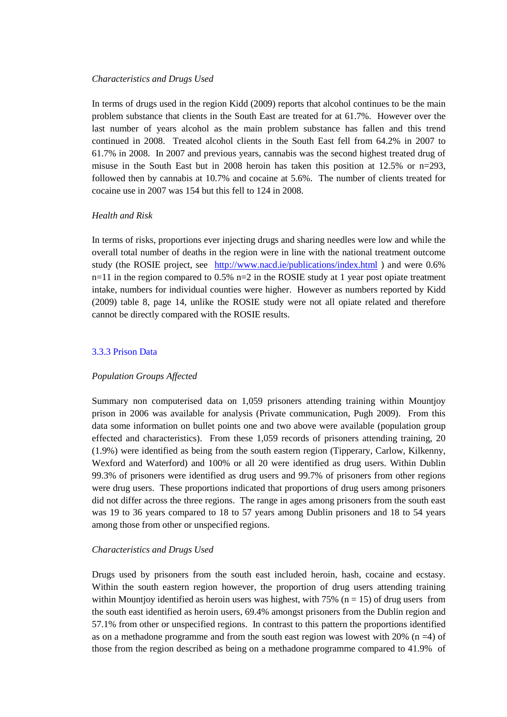#### *Characteristics and Drugs Used*

In terms of drugs used in the region Kidd (2009) reports that alcohol continues to be the main problem substance that clients in the South East are treated for at 61.7%. However over the last number of years alcohol as the main problem substance has fallen and this trend continued in 2008. Treated alcohol clients in the South East fell from 64.2% in 2007 to 61.7% in 2008. In 2007 and previous years, cannabis was the second highest treated drug of misuse in the South East but in 2008 heroin has taken this position at 12.5% or n=293, followed then by cannabis at 10.7% and cocaine at 5.6%. The number of clients treated for cocaine use in 2007 was 154 but this fell to 124 in 2008.

## *Health and Risk*

In terms of risks, proportions ever injecting drugs and sharing needles were low and while the overall total number of deaths in the region were in line with the national treatment outcome study (the ROSIE project, see <http://www.nacd.ie/publications/index.html> ) and were 0.6%  $n=11$  in the region compared to 0.5% n=2 in the ROSIE study at 1 year post opiate treatment intake, numbers for individual counties were higher. However as numbers reported by Kidd (2009) table 8, page 14, unlike the ROSIE study were not all opiate related and therefore cannot be directly compared with the ROSIE results.

### 3.3.3 Prison Data

#### *Population Groups Affected*

Summary non computerised data on 1,059 prisoners attending training within Mountjoy prison in 2006 was available for analysis (Private communication, Pugh 2009). From this data some information on bullet points one and two above were available (population group effected and characteristics). From these 1,059 records of prisoners attending training, 20 (1.9%) were identified as being from the south eastern region (Tipperary, Carlow, Kilkenny, Wexford and Waterford) and 100% or all 20 were identified as drug users. Within Dublin 99.3% of prisoners were identified as drug users and 99.7% of prisoners from other regions were drug users. These proportions indicated that proportions of drug users among prisoners did not differ across the three regions. The range in ages among prisoners from the south east was 19 to 36 years compared to 18 to 57 years among Dublin prisoners and 18 to 54 years among those from other or unspecified regions.

## *Characteristics and Drugs Used*

Drugs used by prisoners from the south east included heroin, hash, cocaine and ecstasy. Within the south eastern region however, the proportion of drug users attending training within Mountjoy identified as heroin users was highest, with  $75\%$  (n = 15) of drug users from the south east identified as heroin users, 69.4% amongst prisoners from the Dublin region and 57.1% from other or unspecified regions. In contrast to this pattern the proportions identified as on a methadone programme and from the south east region was lowest with  $20\%$  (n =4) of those from the region described as being on a methadone programme compared to 41.9% of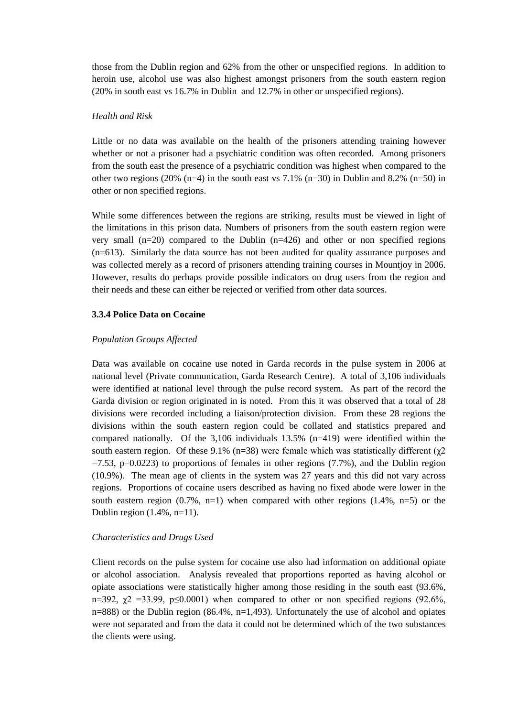those from the Dublin region and 62% from the other or unspecified regions. In addition to heroin use, alcohol use was also highest amongst prisoners from the south eastern region (20% in south east vs 16.7% in Dublin and 12.7% in other or unspecified regions).

#### *Health and Risk*

Little or no data was available on the health of the prisoners attending training however whether or not a prisoner had a psychiatric condition was often recorded. Among prisoners from the south east the presence of a psychiatric condition was highest when compared to the other two regions (20% (n=4) in the south east vs 7.1% (n=30) in Dublin and 8.2% (n=50) in other or non specified regions.

While some differences between the regions are striking, results must be viewed in light of the limitations in this prison data. Numbers of prisoners from the south eastern region were very small  $(n=20)$  compared to the Dublin  $(n=426)$  and other or non specified regions (n=613). Similarly the data source has not been audited for quality assurance purposes and was collected merely as a record of prisoners attending training courses in Mountjoy in 2006. However, results do perhaps provide possible indicators on drug users from the region and their needs and these can either be rejected or verified from other data sources.

#### **3.3.4 Police Data on Cocaine**

#### *Population Groups Affected*

Data was available on cocaine use noted in Garda records in the pulse system in 2006 at national level (Private communication, Garda Research Centre). A total of 3,106 individuals were identified at national level through the pulse record system. As part of the record the Garda division or region originated in is noted. From this it was observed that a total of 28 divisions were recorded including a liaison/protection division. From these 28 regions the divisions within the south eastern region could be collated and statistics prepared and compared nationally. Of the  $3,106$  individuals  $13.5\%$  (n=419) were identified within the south eastern region. Of these 9.1% (n=38) were female which was statistically different ( $χ2$  $=7.53$ , p $=0.0223$ ) to proportions of females in other regions (7.7%), and the Dublin region (10.9%). The mean age of clients in the system was 27 years and this did not vary across regions. Proportions of cocaine users described as having no fixed abode were lower in the south eastern region  $(0.7\% , n=1)$  when compared with other regions  $(1.4\% , n=5)$  or the Dublin region (1.4%, n=11).

#### *Characteristics and Drugs Used*

Client records on the pulse system for cocaine use also had information on additional opiate or alcohol association. Analysis revealed that proportions reported as having alcohol or opiate associations were statistically higher among those residing in the south east (93.6%, n=392,  $\chi$ 2 =33.99, p≤0.0001) when compared to other or non specified regions (92.6%,  $n=888$ ) or the Dublin region (86.4%,  $n=1,493$ ). Unfortunately the use of alcohol and opiates were not separated and from the data it could not be determined which of the two substances the clients were using.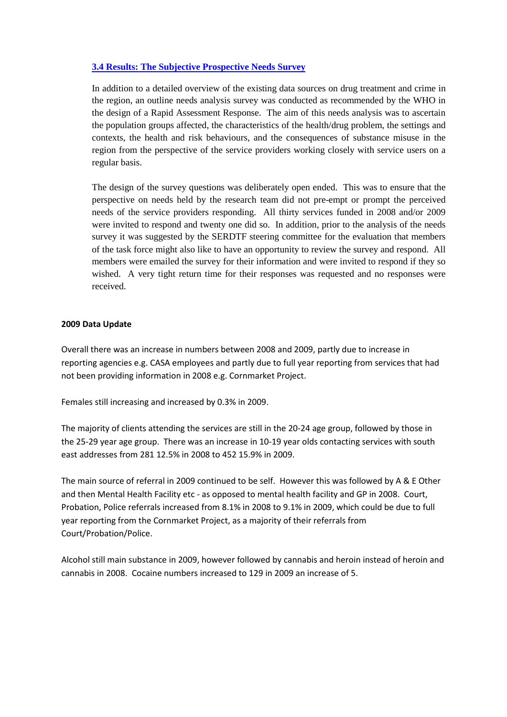# **3.4 Results: The Subjective Prospective Needs Survey**

In addition to a detailed overview of the existing data sources on drug treatment and crime in the region, an outline needs analysis survey was conducted as recommended by the WHO in the design of a Rapid Assessment Response. The aim of this needs analysis was to ascertain the population groups affected, the characteristics of the health/drug problem, the settings and contexts, the health and risk behaviours, and the consequences of substance misuse in the region from the perspective of the service providers working closely with service users on a regular basis.

The design of the survey questions was deliberately open ended. This was to ensure that the perspective on needs held by the research team did not pre-empt or prompt the perceived needs of the service providers responding. All thirty services funded in 2008 and/or 2009 were invited to respond and twenty one did so. In addition, prior to the analysis of the needs survey it was suggested by the SERDTF steering committee for the evaluation that members of the task force might also like to have an opportunity to review the survey and respond. All members were emailed the survey for their information and were invited to respond if they so wished. A very tight return time for their responses was requested and no responses were received.

## **2009 Data Update**

Overall there was an increase in numbers between 2008 and 2009, partly due to increase in reporting agencies e.g. CASA employees and partly due to full year reporting from services that had not been providing information in 2008 e.g. Cornmarket Project.

Females still increasing and increased by 0.3% in 2009.

The majority of clients attending the services are still in the 20-24 age group, followed by those in the 25-29 year age group. There was an increase in 10-19 year olds contacting services with south east addresses from 281 12.5% in 2008 to 452 15.9% in 2009.

The main source of referral in 2009 continued to be self. However this was followed by A & E Other and then Mental Health Facility etc - as opposed to mental health facility and GP in 2008. Court, Probation, Police referrals increased from 8.1% in 2008 to 9.1% in 2009, which could be due to full year reporting from the Cornmarket Project, as a majority of their referrals from Court/Probation/Police.

Alcohol still main substance in 2009, however followed by cannabis and heroin instead of heroin and cannabis in 2008. Cocaine numbers increased to 129 in 2009 an increase of 5.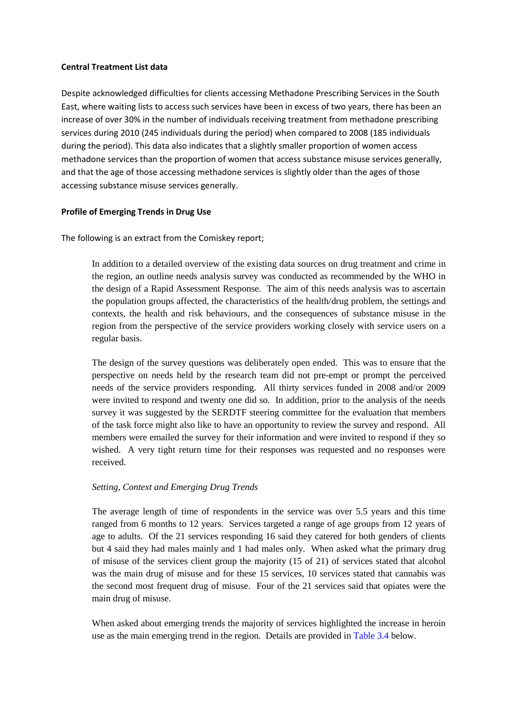### **Central Treatment List data**

Despite acknowledged difficulties for clients accessing Methadone Prescribing Services in the South East, where waiting lists to access such services have been in excess of two years, there has been an increase of over 30% in the number of individuals receiving treatment from methadone prescribing services during 2010 (245 individuals during the period) when compared to 2008 (185 individuals during the period). This data also indicates that a slightly smaller proportion of women access methadone services than the proportion of women that access substance misuse services generally, and that the age of those accessing methadone services is slightly older than the ages of those accessing substance misuse services generally.

## **Profile of Emerging Trends in Drug Use**

The following is an extract from the Comiskey report;

In addition to a detailed overview of the existing data sources on drug treatment and crime in the region, an outline needs analysis survey was conducted as recommended by the WHO in the design of a Rapid Assessment Response. The aim of this needs analysis was to ascertain the population groups affected, the characteristics of the health/drug problem, the settings and contexts, the health and risk behaviours, and the consequences of substance misuse in the region from the perspective of the service providers working closely with service users on a regular basis.

The design of the survey questions was deliberately open ended. This was to ensure that the perspective on needs held by the research team did not pre-empt or prompt the perceived needs of the service providers responding. All thirty services funded in 2008 and/or 2009 were invited to respond and twenty one did so. In addition, prior to the analysis of the needs survey it was suggested by the SERDTF steering committee for the evaluation that members of the task force might also like to have an opportunity to review the survey and respond. All members were emailed the survey for their information and were invited to respond if they so wished. A very tight return time for their responses was requested and no responses were received.

## *Setting, Context and Emerging Drug Trends*

The average length of time of respondents in the service was over 5.5 years and this time ranged from 6 months to 12 years. Services targeted a range of age groups from 12 years of age to adults. Of the 21 services responding 16 said they catered for both genders of clients but 4 said they had males mainly and 1 had males only. When asked what the primary drug of misuse of the services client group the majority (15 of 21) of services stated that alcohol was the main drug of misuse and for these 15 services, 10 services stated that cannabis was the second most frequent drug of misuse. Four of the 21 services said that opiates were the main drug of misuse.

When asked about emerging trends the majority of services highlighted the increase in heroin use as the main emerging trend in the region. Details are provided in Table 3.4 below.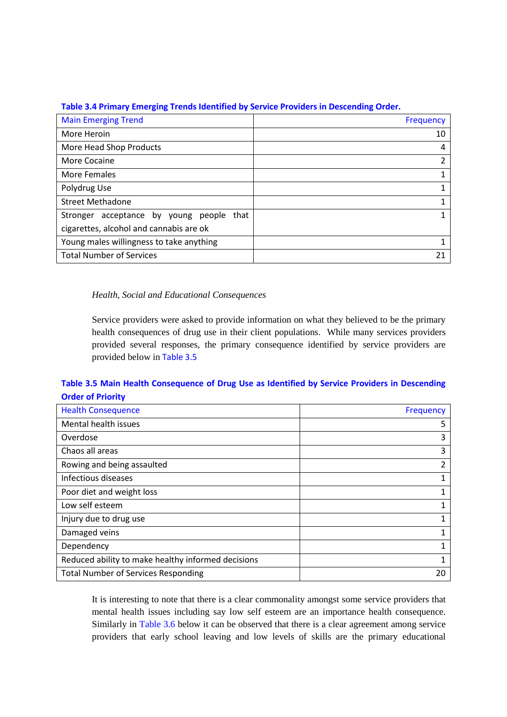| Table 3.4 Primary Emerging Trends Identified by Service Providers in Descending Order. |
|----------------------------------------------------------------------------------------|
|----------------------------------------------------------------------------------------|

| <b>Main Emerging Trend</b>                        | Frequency |
|---------------------------------------------------|-----------|
| More Heroin                                       | 10        |
| More Head Shop Products                           | 4         |
| More Cocaine                                      | 2         |
| More Females                                      |           |
| Polydrug Use                                      |           |
| <b>Street Methadone</b>                           |           |
| acceptance by young<br>that<br>Stronger<br>people |           |
| cigarettes, alcohol and cannabis are ok           |           |
| Young males willingness to take anything          |           |
| <b>Total Number of Services</b>                   |           |

# *Health, Social and Educational Consequences*

Service providers were asked to provide information on what they believed to be the primary health consequences of drug use in their client populations. While many services providers provided several responses, the primary consequence identified by service providers are provided below in Table 3.5

# **Table 3.5 Main Health Consequence of Drug Use as Identified by Service Providers in Descending Order of Priority**

| <b>Health Consequence</b>                          | Frequency |
|----------------------------------------------------|-----------|
| Mental health issues                               | 5         |
| Overdose                                           | 3         |
| Chaos all areas                                    | 3         |
| Rowing and being assaulted                         | 2         |
| Infectious diseases                                |           |
| Poor diet and weight loss                          |           |
| Low self esteem                                    |           |
| Injury due to drug use                             |           |
| Damaged veins                                      |           |
| Dependency                                         |           |
| Reduced ability to make healthy informed decisions |           |
| <b>Total Number of Services Responding</b>         | 20        |

It is interesting to note that there is a clear commonality amongst some service providers that mental health issues including say low self esteem are an importance health consequence. Similarly in Table 3.6 below it can be observed that there is a clear agreement among service providers that early school leaving and low levels of skills are the primary educational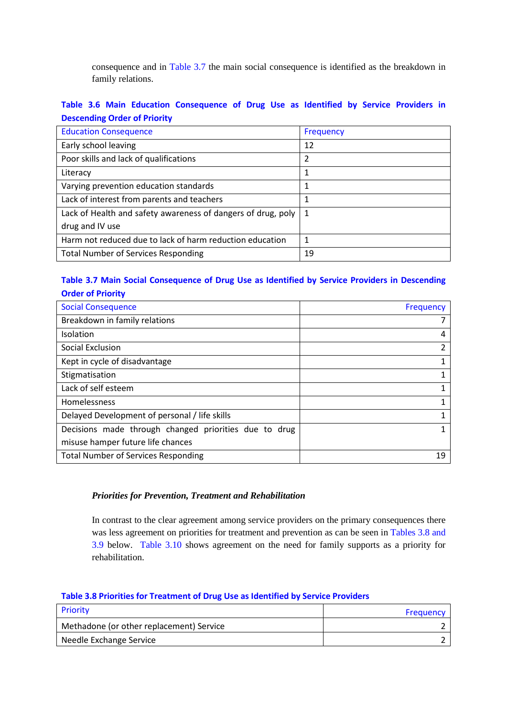consequence and in Table 3.7 the main social consequence is identified as the breakdown in family relations.

# **Table 3.6 Main Education Consequence of Drug Use as Identified by Service Providers in Descending Order of Priority**

| <b>Education Consequence</b>                                 | Frequency |
|--------------------------------------------------------------|-----------|
| Early school leaving                                         | 12        |
| Poor skills and lack of qualifications                       | 2         |
| Literacy                                                     |           |
| Varying prevention education standards                       |           |
| Lack of interest from parents and teachers                   |           |
| Lack of Health and safety awareness of dangers of drug, poly | 1         |
| drug and IV use                                              |           |
| Harm not reduced due to lack of harm reduction education     | 1         |
| <b>Total Number of Services Responding</b>                   | 19        |

# **Table 3.7 Main Social Consequence of Drug Use as Identified by Service Providers in Descending Order of Priority**

| <b>Social Consequence</b>                             | <b>Frequency</b> |
|-------------------------------------------------------|------------------|
| Breakdown in family relations                         |                  |
| Isolation                                             | 4                |
| Social Exclusion                                      | 2                |
| Kept in cycle of disadvantage                         |                  |
| Stigmatisation                                        |                  |
| Lack of self esteem                                   |                  |
| Homelessness                                          |                  |
| Delayed Development of personal / life skills         |                  |
| Decisions made through changed priorities due to drug |                  |
| misuse hamper future life chances                     |                  |
| <b>Total Number of Services Responding</b>            | 19               |

## *Priorities for Prevention, Treatment and Rehabilitation*

In contrast to the clear agreement among service providers on the primary consequences there was less agreement on priorities for treatment and prevention as can be seen in Tables 3.8 and 3.9 below. Table 3.10 shows agreement on the need for family supports as a priority for rehabilitation.

# **Table 3.8 Priorities for Treatment of Drug Use as Identified by Service Providers**

| <b>Priority</b>                          | Frequency |
|------------------------------------------|-----------|
| Methadone (or other replacement) Service |           |
| Needle Exchange Service                  |           |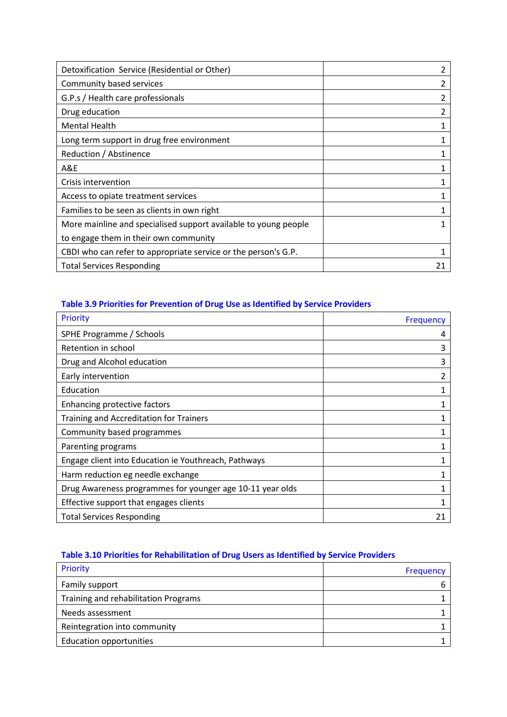| Detoxification Service (Residential or Other)                   |  |
|-----------------------------------------------------------------|--|
| Community based services                                        |  |
| G.P.s / Health care professionals                               |  |
| Drug education                                                  |  |
| <b>Mental Health</b>                                            |  |
| Long term support in drug free environment                      |  |
| Reduction / Abstinence                                          |  |
| A&E                                                             |  |
| Crisis intervention                                             |  |
| Access to opiate treatment services                             |  |
| Families to be seen as clients in own right                     |  |
| More mainline and specialised support available to young people |  |
| to engage them in their own community                           |  |
| CBDI who can refer to appropriate service or the person's G.P.  |  |
| <b>Total Services Responding</b>                                |  |

# **Table 3.9 Priorities for Prevention of Drug Use as Identified by Service Providers**

| Priority                                                  | <b>Frequency</b> |
|-----------------------------------------------------------|------------------|
| SPHE Programme / Schools                                  | 4                |
| Retention in school                                       | 3                |
| Drug and Alcohol education                                | 3                |
| Early intervention                                        | 2                |
| Education                                                 |                  |
| Enhancing protective factors                              |                  |
| Training and Accreditation for Trainers                   |                  |
| Community based programmes                                |                  |
| Parenting programs                                        |                  |
| Engage client into Education ie Youthreach, Pathways      |                  |
| Harm reduction eg needle exchange                         |                  |
| Drug Awareness programmes for younger age 10-11 year olds |                  |
| Effective support that engages clients                    |                  |
| <b>Total Services Responding</b>                          |                  |

# **Table 3.10 Priorities for Rehabilitation of Drug Users as Identified by Service Providers**

| Priority                             | Frequency |
|--------------------------------------|-----------|
| Family support                       |           |
| Training and rehabilitation Programs |           |
| Needs assessment                     |           |
| Reintegration into community         |           |
| Education opportunities              |           |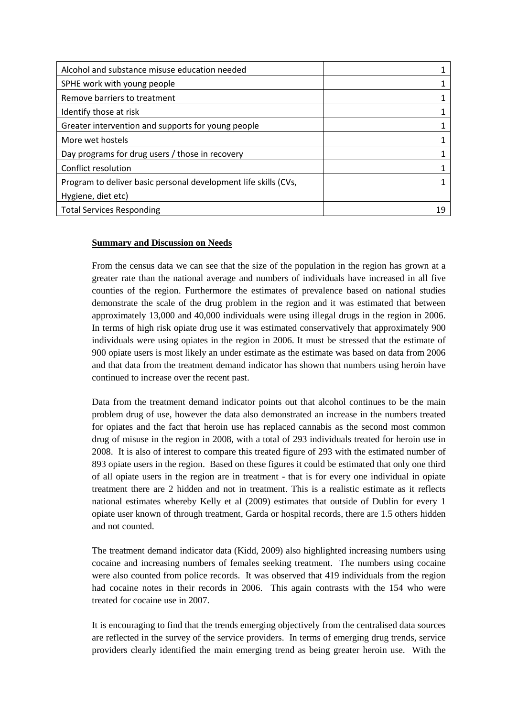| Alcohol and substance misuse education needed                   |  |
|-----------------------------------------------------------------|--|
| SPHE work with young people                                     |  |
| Remove barriers to treatment                                    |  |
| Identify those at risk                                          |  |
| Greater intervention and supports for young people              |  |
| More wet hostels                                                |  |
| Day programs for drug users / those in recovery                 |  |
| Conflict resolution                                             |  |
| Program to deliver basic personal development life skills (CVs, |  |
| Hygiene, diet etc)                                              |  |
| <b>Total Services Responding</b>                                |  |

# **Summary and Discussion on Needs**

From the census data we can see that the size of the population in the region has grown at a greater rate than the national average and numbers of individuals have increased in all five counties of the region. Furthermore the estimates of prevalence based on national studies demonstrate the scale of the drug problem in the region and it was estimated that between approximately 13,000 and 40,000 individuals were using illegal drugs in the region in 2006. In terms of high risk opiate drug use it was estimated conservatively that approximately 900 individuals were using opiates in the region in 2006. It must be stressed that the estimate of 900 opiate users is most likely an under estimate as the estimate was based on data from 2006 and that data from the treatment demand indicator has shown that numbers using heroin have continued to increase over the recent past.

Data from the treatment demand indicator points out that alcohol continues to be the main problem drug of use, however the data also demonstrated an increase in the numbers treated for opiates and the fact that heroin use has replaced cannabis as the second most common drug of misuse in the region in 2008, with a total of 293 individuals treated for heroin use in 2008. It is also of interest to compare this treated figure of 293 with the estimated number of 893 opiate users in the region. Based on these figures it could be estimated that only one third of all opiate users in the region are in treatment - that is for every one individual in opiate treatment there are 2 hidden and not in treatment. This is a realistic estimate as it reflects national estimates whereby Kelly et al (2009) estimates that outside of Dublin for every 1 opiate user known of through treatment, Garda or hospital records, there are 1.5 others hidden and not counted.

The treatment demand indicator data (Kidd, 2009) also highlighted increasing numbers using cocaine and increasing numbers of females seeking treatment. The numbers using cocaine were also counted from police records. It was observed that 419 individuals from the region had cocaine notes in their records in 2006. This again contrasts with the 154 who were treated for cocaine use in 2007.

It is encouraging to find that the trends emerging objectively from the centralised data sources are reflected in the survey of the service providers. In terms of emerging drug trends, service providers clearly identified the main emerging trend as being greater heroin use. With the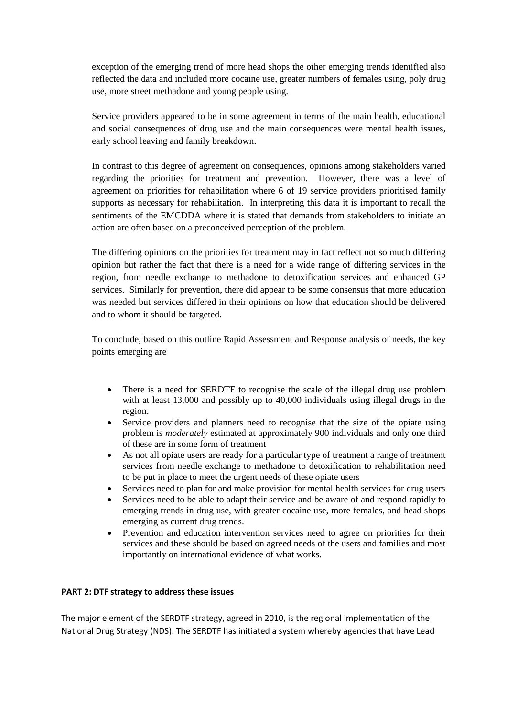exception of the emerging trend of more head shops the other emerging trends identified also reflected the data and included more cocaine use, greater numbers of females using, poly drug use, more street methadone and young people using.

Service providers appeared to be in some agreement in terms of the main health, educational and social consequences of drug use and the main consequences were mental health issues, early school leaving and family breakdown.

In contrast to this degree of agreement on consequences, opinions among stakeholders varied regarding the priorities for treatment and prevention. However, there was a level of agreement on priorities for rehabilitation where 6 of 19 service providers prioritised family supports as necessary for rehabilitation. In interpreting this data it is important to recall the sentiments of the EMCDDA where it is stated that demands from stakeholders to initiate an action are often based on a preconceived perception of the problem.

The differing opinions on the priorities for treatment may in fact reflect not so much differing opinion but rather the fact that there is a need for a wide range of differing services in the region, from needle exchange to methadone to detoxification services and enhanced GP services. Similarly for prevention, there did appear to be some consensus that more education was needed but services differed in their opinions on how that education should be delivered and to whom it should be targeted.

To conclude, based on this outline Rapid Assessment and Response analysis of needs, the key points emerging are

- There is a need for SERDTF to recognise the scale of the illegal drug use problem with at least 13,000 and possibly up to 40,000 individuals using illegal drugs in the region.
- Service providers and planners need to recognise that the size of the opiate using problem is *moderately* estimated at approximately 900 individuals and only one third of these are in some form of treatment
- As not all opiate users are ready for a particular type of treatment a range of treatment services from needle exchange to methadone to detoxification to rehabilitation need to be put in place to meet the urgent needs of these opiate users
- Services need to plan for and make provision for mental health services for drug users
- Services need to be able to adapt their service and be aware of and respond rapidly to emerging trends in drug use, with greater cocaine use, more females, and head shops emerging as current drug trends.
- Prevention and education intervention services need to agree on priorities for their services and these should be based on agreed needs of the users and families and most importantly on international evidence of what works.

## **PART 2: DTF strategy to address these issues**

The major element of the SERDTF strategy, agreed in 2010, is the regional implementation of the National Drug Strategy (NDS). The SERDTF has initiated a system whereby agencies that have Lead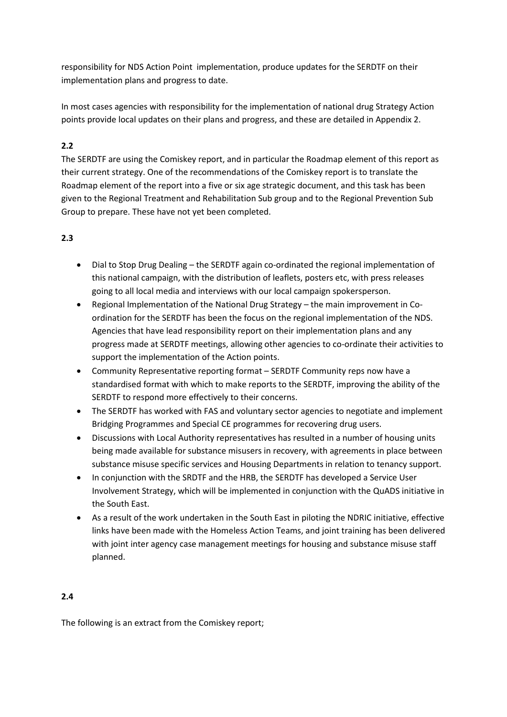responsibility for NDS Action Point implementation, produce updates for the SERDTF on their implementation plans and progress to date.

In most cases agencies with responsibility for the implementation of national drug Strategy Action points provide local updates on their plans and progress, and these are detailed in Appendix 2.

# **2.2**

The SERDTF are using the Comiskey report, and in particular the Roadmap element of this report as their current strategy. One of the recommendations of the Comiskey report is to translate the Roadmap element of the report into a five or six age strategic document, and this task has been given to the Regional Treatment and Rehabilitation Sub group and to the Regional Prevention Sub Group to prepare. These have not yet been completed.

# **2.3**

- Dial to Stop Drug Dealing the SERDTF again co-ordinated the regional implementation of this national campaign, with the distribution of leaflets, posters etc, with press releases going to all local media and interviews with our local campaign spokersperson.
- Regional Implementation of the National Drug Strategy the main improvement in Coordination for the SERDTF has been the focus on the regional implementation of the NDS. Agencies that have lead responsibility report on their implementation plans and any progress made at SERDTF meetings, allowing other agencies to co-ordinate their activities to support the implementation of the Action points.
- Community Representative reporting format SERDTF Community reps now have a standardised format with which to make reports to the SERDTF, improving the ability of the SERDTF to respond more effectively to their concerns.
- The SERDTF has worked with FAS and voluntary sector agencies to negotiate and implement Bridging Programmes and Special CE programmes for recovering drug users.
- Discussions with Local Authority representatives has resulted in a number of housing units being made available for substance misusers in recovery, with agreements in place between substance misuse specific services and Housing Departments in relation to tenancy support.
- In conjunction with the SRDTF and the HRB, the SERDTF has developed a Service User Involvement Strategy, which will be implemented in conjunction with the QuADS initiative in the South East.
- As a result of the work undertaken in the South East in piloting the NDRIC initiative, effective links have been made with the Homeless Action Teams, and joint training has been delivered with joint inter agency case management meetings for housing and substance misuse staff planned.

# **2.4**

The following is an extract from the Comiskey report;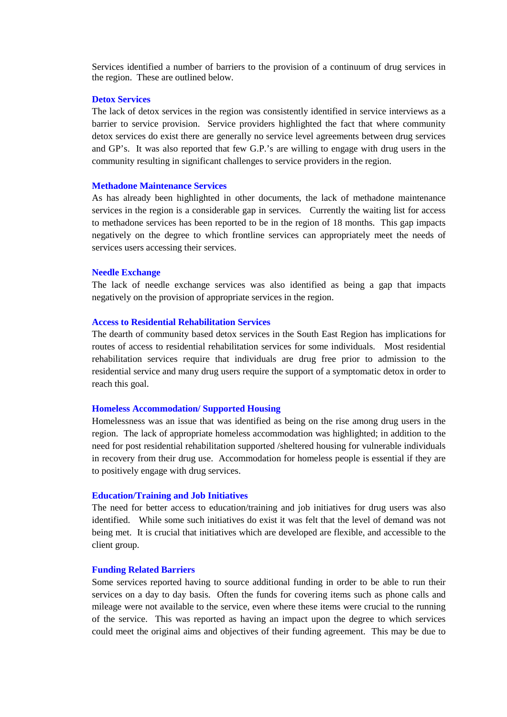Services identified a number of barriers to the provision of a continuum of drug services in the region. These are outlined below.

### **Detox Services**

The lack of detox services in the region was consistently identified in service interviews as a barrier to service provision. Service providers highlighted the fact that where community detox services do exist there are generally no service level agreements between drug services and GP's. It was also reported that few G.P.'s are willing to engage with drug users in the community resulting in significant challenges to service providers in the region.

#### **Methadone Maintenance Services**

As has already been highlighted in other documents, the lack of methadone maintenance services in the region is a considerable gap in services. Currently the waiting list for access to methadone services has been reported to be in the region of 18 months. This gap impacts negatively on the degree to which frontline services can appropriately meet the needs of services users accessing their services.

#### **Needle Exchange**

The lack of needle exchange services was also identified as being a gap that impacts negatively on the provision of appropriate services in the region.

#### **Access to Residential Rehabilitation Services**

The dearth of community based detox services in the South East Region has implications for routes of access to residential rehabilitation services for some individuals. Most residential rehabilitation services require that individuals are drug free prior to admission to the residential service and many drug users require the support of a symptomatic detox in order to reach this goal.

#### **Homeless Accommodation/ Supported Housing**

Homelessness was an issue that was identified as being on the rise among drug users in the region. The lack of appropriate homeless accommodation was highlighted; in addition to the need for post residential rehabilitation supported /sheltered housing for vulnerable individuals in recovery from their drug use. Accommodation for homeless people is essential if they are to positively engage with drug services.

#### **Education/Training and Job Initiatives**

The need for better access to education/training and job initiatives for drug users was also identified. While some such initiatives do exist it was felt that the level of demand was not being met. It is crucial that initiatives which are developed are flexible, and accessible to the client group.

#### **Funding Related Barriers**

Some services reported having to source additional funding in order to be able to run their services on a day to day basis. Often the funds for covering items such as phone calls and mileage were not available to the service, even where these items were crucial to the running of the service. This was reported as having an impact upon the degree to which services could meet the original aims and objectives of their funding agreement. This may be due to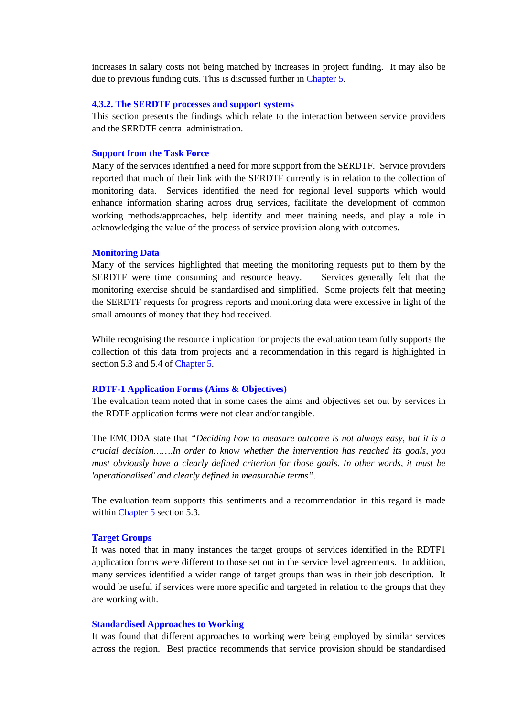increases in salary costs not being matched by increases in project funding. It may also be due to previous funding cuts. This is discussed further in Chapter 5.

#### **4.3.2. The SERDTF processes and support systems**

This section presents the findings which relate to the interaction between service providers and the SERDTF central administration.

#### **Support from the Task Force**

Many of the services identified a need for more support from the SERDTF. Service providers reported that much of their link with the SERDTF currently is in relation to the collection of monitoring data. Services identified the need for regional level supports which would enhance information sharing across drug services, facilitate the development of common working methods/approaches, help identify and meet training needs, and play a role in acknowledging the value of the process of service provision along with outcomes.

#### **Monitoring Data**

Many of the services highlighted that meeting the monitoring requests put to them by the SERDTF were time consuming and resource heavy. Services generally felt that the monitoring exercise should be standardised and simplified. Some projects felt that meeting the SERDTF requests for progress reports and monitoring data were excessive in light of the small amounts of money that they had received.

While recognising the resource implication for projects the evaluation team fully supports the collection of this data from projects and a recommendation in this regard is highlighted in section 5.3 and 5.4 of Chapter 5.

#### **RDTF-1 Application Forms (Aims & Objectives)**

The evaluation team noted that in some cases the aims and objectives set out by services in the RDTF application forms were not clear and/or tangible.

The EMCDDA state that *"Deciding how to measure outcome is not always easy, but it is a crucial decision…….In order to know whether the intervention has reached its goals, you must obviously have a clearly defined criterion for those goals. In other words, it must be 'operationalised' and clearly defined in measurable terms"*.

The evaluation team supports this sentiments and a recommendation in this regard is made within Chapter 5 section 5.3.

#### **Target Groups**

It was noted that in many instances the target groups of services identified in the RDTF1 application forms were different to those set out in the service level agreements. In addition, many services identified a wider range of target groups than was in their job description. It would be useful if services were more specific and targeted in relation to the groups that they are working with.

#### **Standardised Approaches to Working**

It was found that different approaches to working were being employed by similar services across the region. Best practice recommends that service provision should be standardised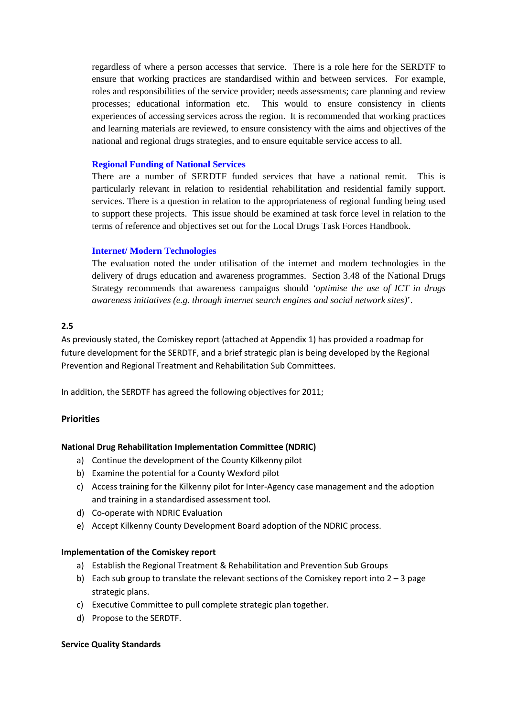regardless of where a person accesses that service. There is a role here for the SERDTF to ensure that working practices are standardised within and between services. For example, roles and responsibilities of the service provider; needs assessments; care planning and review processes; educational information etc. This would to ensure consistency in clients experiences of accessing services across the region. It is recommended that working practices and learning materials are reviewed, to ensure consistency with the aims and objectives of the national and regional drugs strategies, and to ensure equitable service access to all.

# **Regional Funding of National Services**

There are a number of SERDTF funded services that have a national remit. This is particularly relevant in relation to residential rehabilitation and residential family support. services. There is a question in relation to the appropriateness of regional funding being used to support these projects. This issue should be examined at task force level in relation to the terms of reference and objectives set out for the Local Drugs Task Forces Handbook.

### **Internet/ Modern Technologies**

The evaluation noted the under utilisation of the internet and modern technologies in the delivery of drugs education and awareness programmes. Section 3.48 of the National Drugs Strategy recommends that awareness campaigns should *'optimise the use of ICT in drugs awareness initiatives (e.g. through internet search engines and social network sites)*'.

## **2.5**

As previously stated, the Comiskey report (attached at Appendix 1) has provided a roadmap for future development for the SERDTF, and a brief strategic plan is being developed by the Regional Prevention and Regional Treatment and Rehabilitation Sub Committees.

In addition, the SERDTF has agreed the following objectives for 2011;

## **Priorities**

#### **National Drug Rehabilitation Implementation Committee (NDRIC)**

- a) Continue the development of the County Kilkenny pilot
- b) Examine the potential for a County Wexford pilot
- c) Access training for the Kilkenny pilot for Inter-Agency case management and the adoption and training in a standardised assessment tool.
- d) Co-operate with NDRIC Evaluation
- e) Accept Kilkenny County Development Board adoption of the NDRIC process.

### **Implementation of the Comiskey report**

- a) Establish the Regional Treatment & Rehabilitation and Prevention Sub Groups
- b) Each sub group to translate the relevant sections of the Comiskey report into  $2 3$  page strategic plans.
- c) Executive Committee to pull complete strategic plan together.
- d) Propose to the SERDTF.

#### **Service Quality Standards**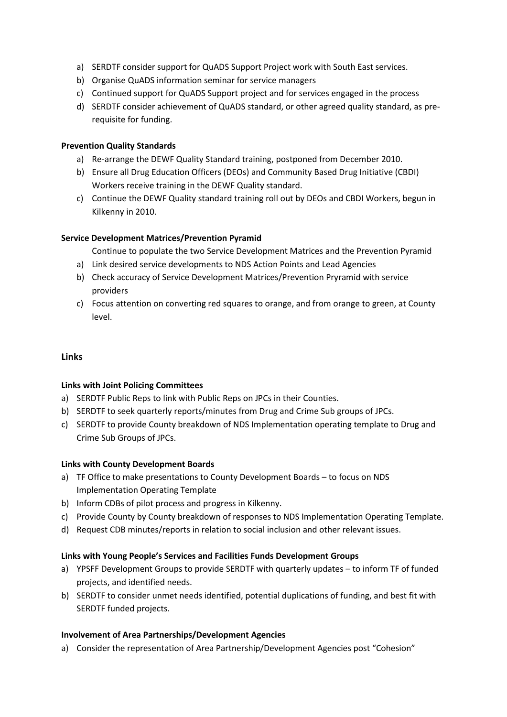- a) SERDTF consider support for QuADS Support Project work with South East services.
- b) Organise QuADS information seminar for service managers
- c) Continued support for QuADS Support project and for services engaged in the process
- d) SERDTF consider achievement of QuADS standard, or other agreed quality standard, as prerequisite for funding.

### **Prevention Quality Standards**

- a) Re-arrange the DEWF Quality Standard training, postponed from December 2010.
- b) Ensure all Drug Education Officers (DEOs) and Community Based Drug Initiative (CBDI) Workers receive training in the DEWF Quality standard.
- c) Continue the DEWF Quality standard training roll out by DEOs and CBDI Workers, begun in Kilkenny in 2010.

### **Service Development Matrices/Prevention Pyramid**

Continue to populate the two Service Development Matrices and the Prevention Pyramid

- a) Link desired service developments to NDS Action Points and Lead Agencies
- b) Check accuracy of Service Development Matrices/Prevention Pryramid with service providers
- c) Focus attention on converting red squares to orange, and from orange to green, at County level.

## **Links**

## **Links with Joint Policing Committees**

- a) SERDTF Public Reps to link with Public Reps on JPCs in their Counties.
- b) SERDTF to seek quarterly reports/minutes from Drug and Crime Sub groups of JPCs.
- c) SERDTF to provide County breakdown of NDS Implementation operating template to Drug and Crime Sub Groups of JPCs.

## **Links with County Development Boards**

- a) TF Office to make presentations to County Development Boards to focus on NDS Implementation Operating Template
- b) Inform CDBs of pilot process and progress in Kilkenny.
- c) Provide County by County breakdown of responses to NDS Implementation Operating Template.
- d) Request CDB minutes/reports in relation to social inclusion and other relevant issues.

## **Links with Young People's Services and Facilities Funds Development Groups**

- a) YPSFF Development Groups to provide SERDTF with quarterly updates to inform TF of funded projects, and identified needs.
- b) SERDTF to consider unmet needs identified, potential duplications of funding, and best fit with SERDTF funded projects.

## **Involvement of Area Partnerships/Development Agencies**

a) Consider the representation of Area Partnership/Development Agencies post "Cohesion"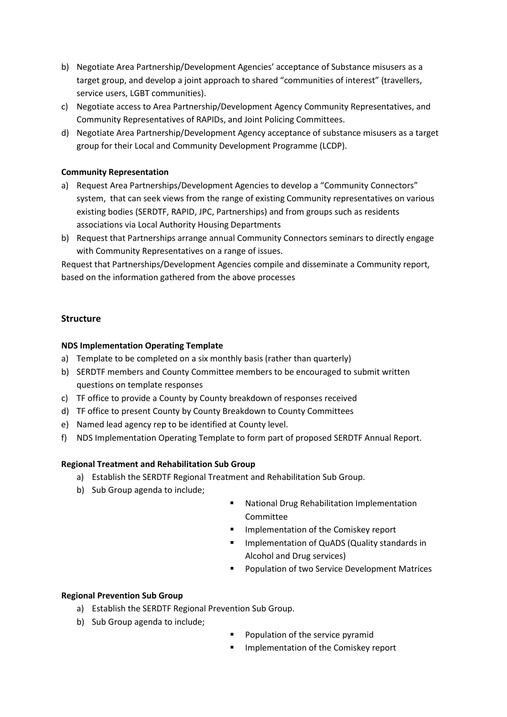- b) Negotiate Area Partnership/Development Agencies' acceptance of Substance misusers as a target group, and develop a joint approach to shared "communities of interest" (travellers, service users, LGBT communities).
- c) Negotiate access to Area Partnership/Development Agency Community Representatives, and Community Representatives of RAPIDs, and Joint Policing Committees.
- d) Negotiate Area Partnership/Development Agency acceptance of substance misusers as a target group for their Local and Community Development Programme (LCDP).

# **Community Representation**

- a) Request Area Partnerships/Development Agencies to develop a "Community Connectors" system, that can seek views from the range of existing Community representatives on various existing bodies (SERDTF, RAPID, JPC, Partnerships) and from groups such as residents associations via Local Authority Housing Departments
- b) Request that Partnerships arrange annual Community Connectors seminars to directly engage with Community Representatives on a range of issues.

Request that Partnerships/Development Agencies compile and disseminate a Community report, based on the information gathered from the above processes

# **Structure**

## **NDS Implementation Operating Template**

- a) Template to be completed on a six monthly basis (rather than quarterly)
- b) SERDTF members and County Committee members to be encouraged to submit written questions on template responses
- c) TF office to provide a County by County breakdown of responses received
- d) TF office to present County by County Breakdown to County Committees
- e) Named lead agency rep to be identified at County level.
- f) NDS Implementation Operating Template to form part of proposed SERDTF Annual Report.

## **Regional Treatment and Rehabilitation Sub Group**

- a) Establish the SERDTF Regional Treatment and Rehabilitation Sub Group.
- b) Sub Group agenda to include;
- **National Drug Rehabilitation Implementation** Committee
- **Implementation of the Comiskey report**
- Implementation of QuADS (Quality standards in Alcohol and Drug services)
- Population of two Service Development Matrices

# **Regional Prevention Sub Group**

- a) Establish the SERDTF Regional Prevention Sub Group.
- b) Sub Group agenda to include;
- Population of the service pyramid
- Implementation of the Comiskey report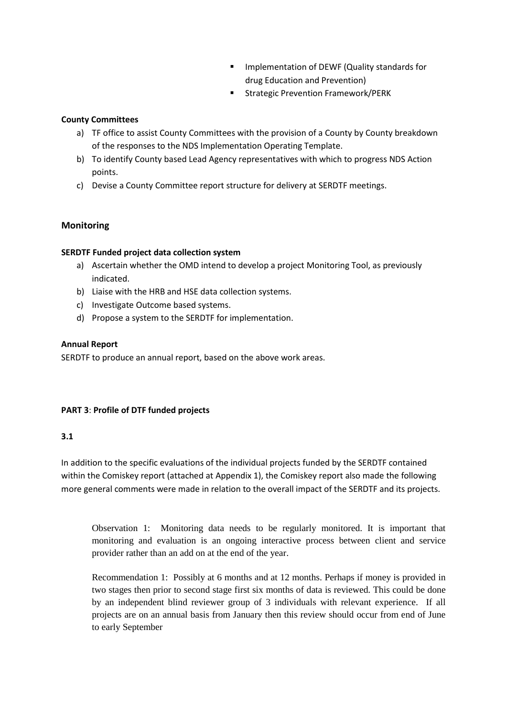- **IMPLEMENTATION OF DEWF (Quality standards for** drug Education and Prevention)
- Strategic Prevention Framework/PERK

# **County Committees**

- a) TF office to assist County Committees with the provision of a County by County breakdown of the responses to the NDS Implementation Operating Template.
- b) To identify County based Lead Agency representatives with which to progress NDS Action points.
- c) Devise a County Committee report structure for delivery at SERDTF meetings.

# **Monitoring**

# **SERDTF Funded project data collection system**

- a) Ascertain whether the OMD intend to develop a project Monitoring Tool, as previously indicated.
- b) Liaise with the HRB and HSE data collection systems.
- c) Investigate Outcome based systems.
- d) Propose a system to the SERDTF for implementation.

# **Annual Report**

SERDTF to produce an annual report, based on the above work areas.

# **PART 3**: **Profile of DTF funded projects**

# **3.1**

In addition to the specific evaluations of the individual projects funded by the SERDTF contained within the Comiskey report (attached at Appendix 1), the Comiskey report also made the following more general comments were made in relation to the overall impact of the SERDTF and its projects.

Observation 1: Monitoring data needs to be regularly monitored. It is important that monitoring and evaluation is an ongoing interactive process between client and service provider rather than an add on at the end of the year.

Recommendation 1: Possibly at 6 months and at 12 months. Perhaps if money is provided in two stages then prior to second stage first six months of data is reviewed. This could be done by an independent blind reviewer group of 3 individuals with relevant experience. If all projects are on an annual basis from January then this review should occur from end of June to early September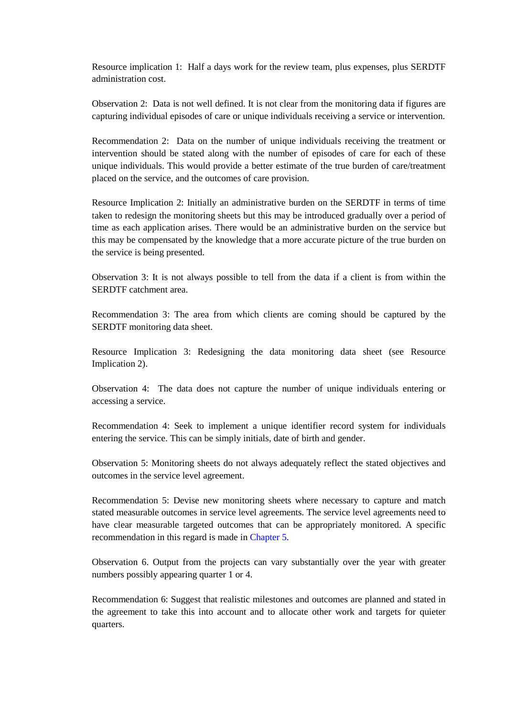Resource implication 1: Half a days work for the review team, plus expenses, plus SERDTF administration cost.

Observation 2: Data is not well defined. It is not clear from the monitoring data if figures are capturing individual episodes of care or unique individuals receiving a service or intervention.

Recommendation 2: Data on the number of unique individuals receiving the treatment or intervention should be stated along with the number of episodes of care for each of these unique individuals. This would provide a better estimate of the true burden of care/treatment placed on the service, and the outcomes of care provision.

Resource Implication 2: Initially an administrative burden on the SERDTF in terms of time taken to redesign the monitoring sheets but this may be introduced gradually over a period of time as each application arises. There would be an administrative burden on the service but this may be compensated by the knowledge that a more accurate picture of the true burden on the service is being presented.

Observation 3: It is not always possible to tell from the data if a client is from within the SERDTF catchment area.

Recommendation 3: The area from which clients are coming should be captured by the SERDTF monitoring data sheet.

Resource Implication 3: Redesigning the data monitoring data sheet (see Resource Implication 2).

Observation 4: The data does not capture the number of unique individuals entering or accessing a service.

Recommendation 4: Seek to implement a unique identifier record system for individuals entering the service. This can be simply initials, date of birth and gender.

Observation 5: Monitoring sheets do not always adequately reflect the stated objectives and outcomes in the service level agreement.

Recommendation 5: Devise new monitoring sheets where necessary to capture and match stated measurable outcomes in service level agreements. The service level agreements need to have clear measurable targeted outcomes that can be appropriately monitored. A specific recommendation in this regard is made in Chapter 5.

Observation 6. Output from the projects can vary substantially over the year with greater numbers possibly appearing quarter 1 or 4.

Recommendation 6: Suggest that realistic milestones and outcomes are planned and stated in the agreement to take this into account and to allocate other work and targets for quieter quarters.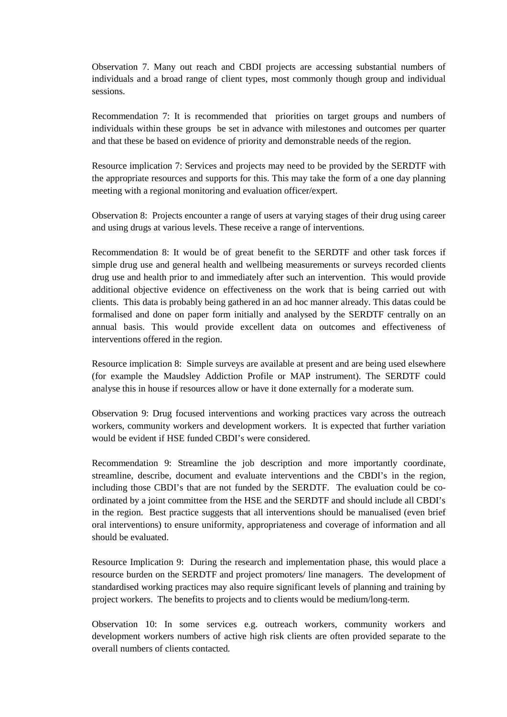Observation 7. Many out reach and CBDI projects are accessing substantial numbers of individuals and a broad range of client types, most commonly though group and individual sessions.

Recommendation 7: It is recommended that priorities on target groups and numbers of individuals within these groups be set in advance with milestones and outcomes per quarter and that these be based on evidence of priority and demonstrable needs of the region.

Resource implication 7: Services and projects may need to be provided by the SERDTF with the appropriate resources and supports for this. This may take the form of a one day planning meeting with a regional monitoring and evaluation officer/expert.

Observation 8: Projects encounter a range of users at varying stages of their drug using career and using drugs at various levels. These receive a range of interventions.

Recommendation 8: It would be of great benefit to the SERDTF and other task forces if simple drug use and general health and wellbeing measurements or surveys recorded clients drug use and health prior to and immediately after such an intervention. This would provide additional objective evidence on effectiveness on the work that is being carried out with clients. This data is probably being gathered in an ad hoc manner already. This datas could be formalised and done on paper form initially and analysed by the SERDTF centrally on an annual basis. This would provide excellent data on outcomes and effectiveness of interventions offered in the region.

Resource implication 8: Simple surveys are available at present and are being used elsewhere (for example the Maudsley Addiction Profile or MAP instrument). The SERDTF could analyse this in house if resources allow or have it done externally for a moderate sum.

Observation 9: Drug focused interventions and working practices vary across the outreach workers, community workers and development workers. It is expected that further variation would be evident if HSE funded CBDI's were considered.

Recommendation 9: Streamline the job description and more importantly coordinate, streamline, describe, document and evaluate interventions and the CBDI's in the region, including those CBDI's that are not funded by the SERDTF. The evaluation could be coordinated by a joint committee from the HSE and the SERDTF and should include all CBDI's in the region. Best practice suggests that all interventions should be manualised (even brief oral interventions) to ensure uniformity, appropriateness and coverage of information and all should be evaluated.

Resource Implication 9: During the research and implementation phase, this would place a resource burden on the SERDTF and project promoters/ line managers. The development of standardised working practices may also require significant levels of planning and training by project workers. The benefits to projects and to clients would be medium/long-term.

Observation 10: In some services e.g. outreach workers, community workers and development workers numbers of active high risk clients are often provided separate to the overall numbers of clients contacted.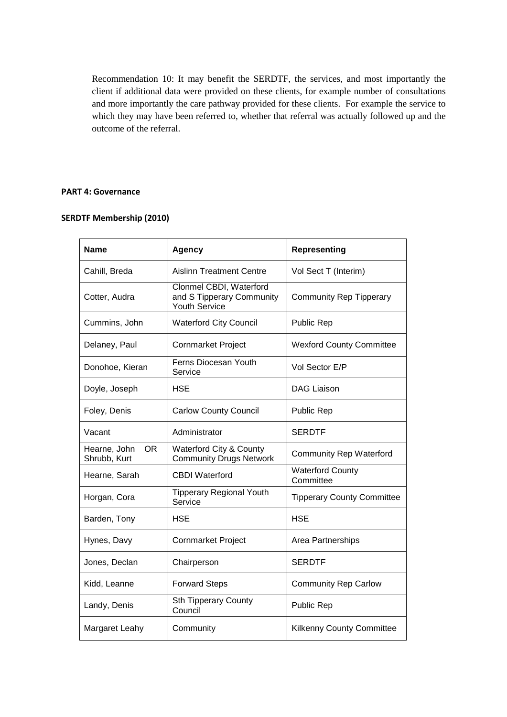Recommendation 10: It may benefit the SERDTF, the services, and most importantly the client if additional data were provided on these clients, for example number of consultations and more importantly the care pathway provided for these clients. For example the service to which they may have been referred to, whether that referral was actually followed up and the outcome of the referral.

## **PART 4: Governance**

# **SERDTF Membership (2010)**

| Name                               | <b>Agency</b>                                                                | <b>Representing</b>                  |  |
|------------------------------------|------------------------------------------------------------------------------|--------------------------------------|--|
| Cahill, Breda                      | <b>Aislinn Treatment Centre</b>                                              | Vol Sect T (Interim)                 |  |
| Cotter, Audra                      | Clonmel CBDI, Waterford<br>and S Tipperary Community<br><b>Youth Service</b> | <b>Community Rep Tipperary</b>       |  |
| Cummins, John                      | <b>Waterford City Council</b>                                                | <b>Public Rep</b>                    |  |
| Delaney, Paul                      | <b>Cornmarket Project</b>                                                    | <b>Wexford County Committee</b>      |  |
| Donohoe, Kieran                    | Ferns Diocesan Youth<br>Service                                              | Vol Sector E/P                       |  |
| Doyle, Joseph                      | <b>HSE</b>                                                                   | <b>DAG Liaison</b>                   |  |
| Foley, Denis                       | <b>Carlow County Council</b>                                                 | <b>Public Rep</b>                    |  |
| Vacant                             | Administrator                                                                | <b>SERDTF</b>                        |  |
| Hearne, John<br>OR<br>Shrubb, Kurt | Waterford City & County<br><b>Community Drugs Network</b>                    | <b>Community Rep Waterford</b>       |  |
| Hearne, Sarah                      | <b>CBDI</b> Waterford                                                        | <b>Waterford County</b><br>Committee |  |
| Horgan, Cora                       | <b>Tipperary Regional Youth</b><br>Service                                   | <b>Tipperary County Committee</b>    |  |
| Barden, Tony                       | HSE                                                                          | <b>HSE</b>                           |  |
| Hynes, Davy                        | <b>Cornmarket Project</b>                                                    | Area Partnerships                    |  |
| Jones, Declan                      | Chairperson                                                                  | <b>SERDTF</b>                        |  |
| Kidd, Leanne                       | <b>Forward Steps</b>                                                         | <b>Community Rep Carlow</b>          |  |
| Landy, Denis                       | <b>Sth Tipperary County</b><br>Council                                       | Public Rep                           |  |
| Margaret Leahy                     | Community                                                                    | <b>Kilkenny County Committee</b>     |  |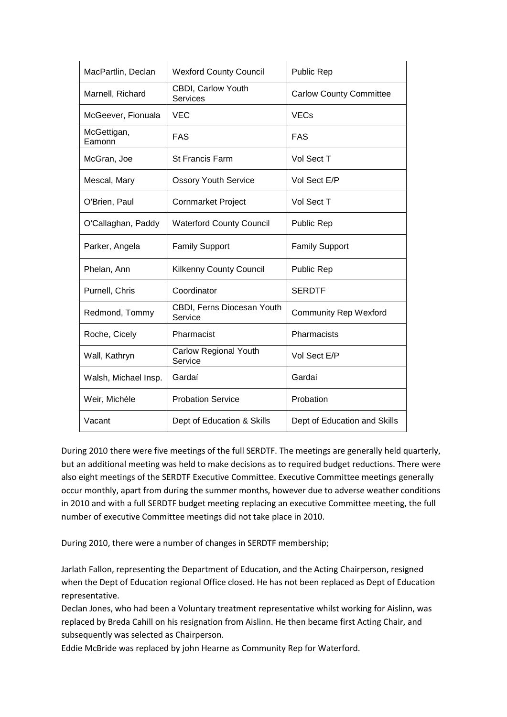| MacPartlin, Declan    | <b>Wexford County Council</b>           | <b>Public Rep</b>              |  |
|-----------------------|-----------------------------------------|--------------------------------|--|
| Marnell, Richard      | <b>CBDI, Carlow Youth</b><br>Services   | <b>Carlow County Committee</b> |  |
| McGeever, Fionuala    | <b>VEC</b>                              | <b>VECs</b>                    |  |
| McGettigan,<br>Eamonn | <b>FAS</b>                              | <b>FAS</b>                     |  |
| McGran, Joe           | <b>St Francis Farm</b>                  | Vol Sect T                     |  |
| Mescal, Mary          | <b>Ossory Youth Service</b>             | Vol Sect E/P                   |  |
| O'Brien, Paul         | <b>Cornmarket Project</b>               | Vol Sect T                     |  |
| O'Callaghan, Paddy    | <b>Waterford County Council</b>         | <b>Public Rep</b>              |  |
| Parker, Angela        | <b>Family Support</b>                   | <b>Family Support</b>          |  |
| Phelan, Ann           | Kilkenny County Council                 | <b>Public Rep</b>              |  |
| Purnell, Chris        | Coordinator                             | <b>SERDTF</b>                  |  |
| Redmond, Tommy        | CBDI, Ferns Diocesan Youth<br>Service   | <b>Community Rep Wexford</b>   |  |
| Roche, Cicely         | Pharmacist                              | Pharmacists                    |  |
| Wall, Kathryn         | <b>Carlow Regional Youth</b><br>Service | Vol Sect E/P                   |  |
| Walsh, Michael Insp.  | Gardaí                                  | Gardaí                         |  |
| Weir, Michèle         | <b>Probation Service</b>                | Probation                      |  |
| Vacant                | Dept of Education & Skills              | Dept of Education and Skills   |  |

During 2010 there were five meetings of the full SERDTF. The meetings are generally held quarterly, but an additional meeting was held to make decisions as to required budget reductions. There were also eight meetings of the SERDTF Executive Committee. Executive Committee meetings generally occur monthly, apart from during the summer months, however due to adverse weather conditions in 2010 and with a full SERDTF budget meeting replacing an executive Committee meeting, the full number of executive Committee meetings did not take place in 2010.

During 2010, there were a number of changes in SERDTF membership;

Jarlath Fallon, representing the Department of Education, and the Acting Chairperson, resigned when the Dept of Education regional Office closed. He has not been replaced as Dept of Education representative.

Declan Jones, who had been a Voluntary treatment representative whilst working for Aislinn, was replaced by Breda Cahill on his resignation from Aislinn. He then became first Acting Chair, and subsequently was selected as Chairperson.

Eddie McBride was replaced by john Hearne as Community Rep for Waterford.